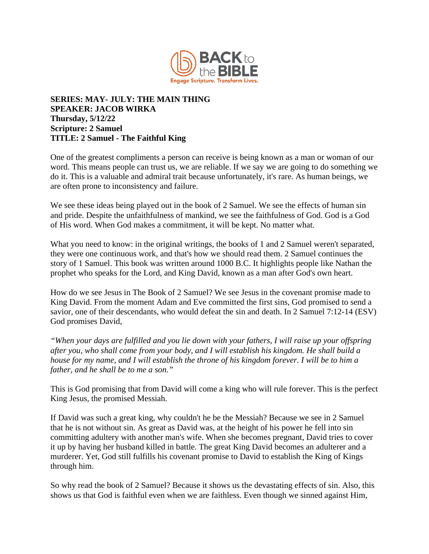

## **SERIES: MAY- JULY: THE MAIN THING SPEAKER: JACOB WIRKA Thursday, 5/12/22 Scripture: 2 Samuel TITLE: 2 Samuel - The Faithful King**

One of the greatest compliments a person can receive is being known as a man or woman of our word. This means people can trust us, we are reliable. If we say we are going to do something we do it. This is a valuable and admiral trait because unfortunately, it's rare. As human beings, we are often prone to inconsistency and failure.

We see these ideas being played out in the book of 2 Samuel. We see the effects of human sin and pride. Despite the unfaithfulness of mankind, we see the faithfulness of God. God is a God of His word. When God makes a commitment, it will be kept. No matter what.

What you need to know: in the original writings, the books of 1 and 2 Samuel weren't separated, they were one continuous work, and that's how we should read them. 2 Samuel continues the story of 1 Samuel. This book was written around 1000 B.C. It highlights people like Nathan the prophet who speaks for the Lord, and King David, known as a man after God's own heart.

How do we see Jesus in The Book of 2 Samuel? We see Jesus in the covenant promise made to King David. From the moment Adam and Eve committed the first sins, God promised to send a savior, one of their descendants, who would defeat the sin and death. In 2 Samuel 7:12-14 (ESV) God promises David,

*"When your days are fulfilled and you lie down with your fathers, I will raise up your offspring after you, who shall come from your body, and I will establish his kingdom. He shall build a house for my name, and I will establish the throne of his kingdom forever. I will be to him a father, and he shall be to me a son."* 

This is God promising that from David will come a king who will rule forever. This is the perfect King Jesus, the promised Messiah.

If David was such a great king, why couldn't he be the Messiah? Because we see in 2 Samuel that he is not without sin. As great as David was, at the height of his power he fell into sin committing adultery with another man's wife. When she becomes pregnant, David tries to cover it up by having her husband killed in battle. The great King David becomes an adulterer and a murderer. Yet, God still fulfills his covenant promise to David to establish the King of Kings through him.

So why read the book of 2 Samuel? Because it shows us the devastating effects of sin. Also, this shows us that God is faithful even when we are faithless. Even though we sinned against Him,